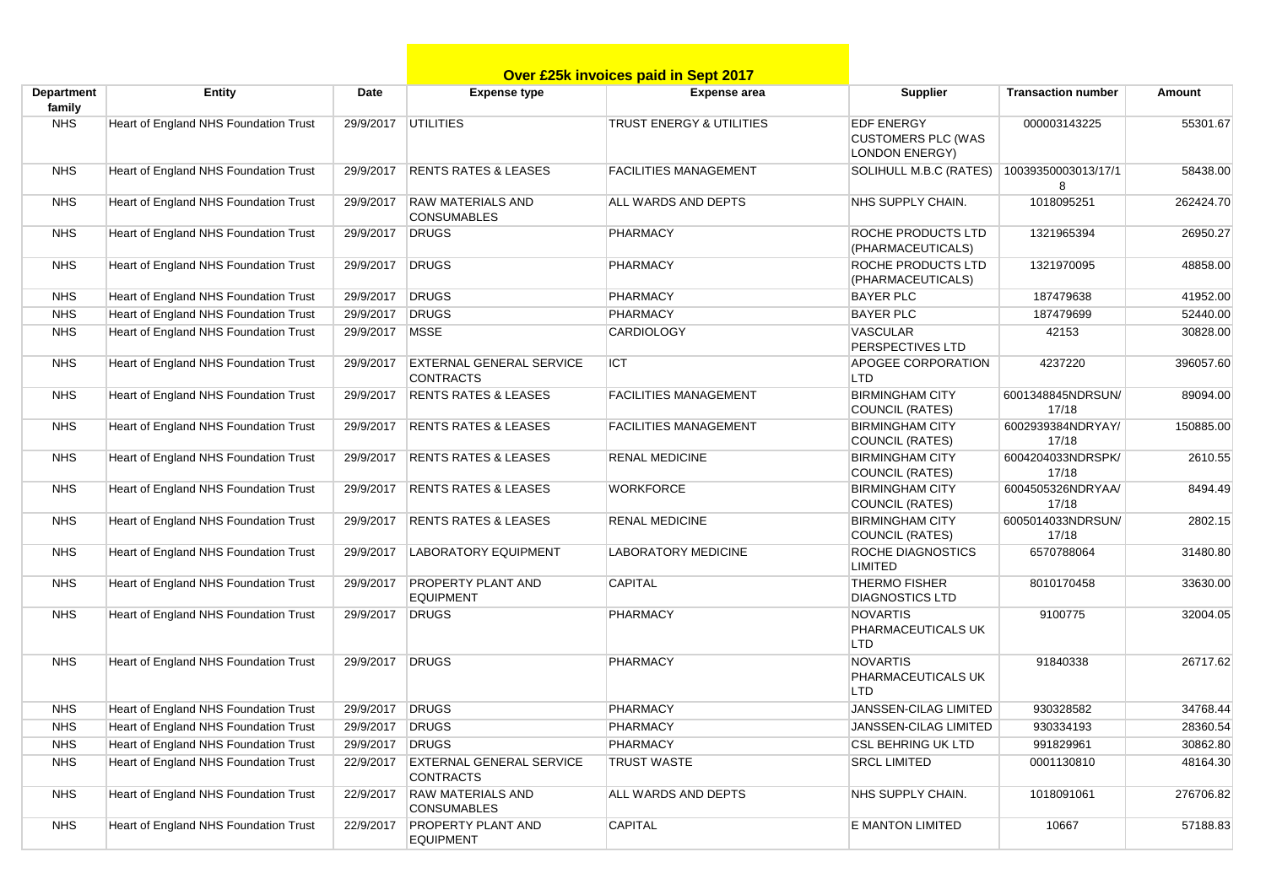|                      |                                              |                     |                                                     | Over £25k invoices paid in Sept 2017 |                                                                         |                            |           |
|----------------------|----------------------------------------------|---------------------|-----------------------------------------------------|--------------------------------------|-------------------------------------------------------------------------|----------------------------|-----------|
| Department<br>family | Entity                                       | Date                | <b>Expense type</b>                                 | <b>Expense area</b>                  | <b>Supplier</b>                                                         | <b>Transaction number</b>  | Amount    |
| <b>NHS</b>           | Heart of England NHS Foundation Trust        | 29/9/2017 UTILITIES |                                                     | TRUST ENERGY & UTILITIES             | <b>EDF ENERGY</b><br><b>CUSTOMERS PLC (WAS</b><br><b>LONDON ENERGY)</b> | 000003143225               | 55301.67  |
| <b>NHS</b>           | <b>Heart of England NHS Foundation Trust</b> | 29/9/2017           | <b>RENTS RATES &amp; LEASES</b>                     | <b>FACILITIES MANAGEMENT</b>         | SOLIHULL M.B.C (RATES)                                                  | 10039350003013/17/1<br>8   | 58438.00  |
| <b>NHS</b>           | Heart of England NHS Foundation Trust        | 29/9/2017           | <b>RAW MATERIALS AND</b><br><b>CONSUMABLES</b>      | ALL WARDS AND DEPTS                  | NHS SUPPLY CHAIN.                                                       | 1018095251                 | 262424.70 |
| <b>NHS</b>           | Heart of England NHS Foundation Trust        | 29/9/2017           | DRUGS                                               | PHARMACY                             | ROCHE PRODUCTS LTD<br>(PHARMACEUTICALS)                                 | 1321965394                 | 26950.27  |
| <b>NHS</b>           | Heart of England NHS Foundation Trust        | 29/9/2017           | <b>DRUGS</b>                                        | <b>PHARMACY</b>                      | ROCHE PRODUCTS LTD<br>(PHARMACEUTICALS)                                 | 1321970095                 | 48858.00  |
| <b>NHS</b>           | Heart of England NHS Foundation Trust        | 29/9/2017           | DRUGS                                               | PHARMACY                             | <b>BAYER PLC</b>                                                        | 187479638                  | 41952.00  |
| <b>NHS</b>           | Heart of England NHS Foundation Trust        | 29/9/2017           | <b>DRUGS</b>                                        | PHARMACY                             | <b>BAYER PLC</b>                                                        | 187479699                  | 52440.00  |
| <b>NHS</b>           | Heart of England NHS Foundation Trust        | 29/9/2017           | <b>MSSE</b>                                         | CARDIOLOGY                           | <b>VASCULAR</b><br>PERSPECTIVES LTD                                     | 42153                      | 30828.00  |
| <b>NHS</b>           | Heart of England NHS Foundation Trust        | 29/9/2017           | <b>EXTERNAL GENERAL SERVICE</b><br><b>CONTRACTS</b> | <b>ICT</b>                           | <b>APOGEE CORPORATION</b><br><b>LTD</b>                                 | 4237220                    | 396057.60 |
| <b>NHS</b>           | Heart of England NHS Foundation Trust        | 29/9/2017           | <b>RENTS RATES &amp; LEASES</b>                     | <b>FACILITIES MANAGEMENT</b>         | <b>BIRMINGHAM CITY</b><br><b>COUNCIL (RATES)</b>                        | 6001348845NDRSUN/<br>17/18 | 89094.00  |
| <b>NHS</b>           | <b>Heart of England NHS Foundation Trust</b> | 29/9/2017           | <b>RENTS RATES &amp; LEASES</b>                     | <b>FACILITIES MANAGEMENT</b>         | <b>BIRMINGHAM CITY</b><br>COUNCIL (RATES)                               | 6002939384NDRYAY/<br>17/18 | 150885.00 |
| <b>NHS</b>           | Heart of England NHS Foundation Trust        | 29/9/2017           | <b>RENTS RATES &amp; LEASES</b>                     | <b>RENAL MEDICINE</b>                | <b>BIRMINGHAM CITY</b><br><b>COUNCIL (RATES)</b>                        | 6004204033NDRSPK/<br>17/18 | 2610.55   |
| <b>NHS</b>           | Heart of England NHS Foundation Trust        | 29/9/2017           | <b>RENTS RATES &amp; LEASES</b>                     | <b>WORKFORCE</b>                     | <b>BIRMINGHAM CITY</b><br>COUNCIL (RATES)                               | 6004505326NDRYAA/<br>17/18 | 8494.49   |
| <b>NHS</b>           | Heart of England NHS Foundation Trust        | 29/9/2017           | <b>RENTS RATES &amp; LEASES</b>                     | <b>RENAL MEDICINE</b>                | <b>BIRMINGHAM CITY</b><br>COUNCIL (RATES)                               | 6005014033NDRSUN/<br>17/18 | 2802.15   |
| <b>NHS</b>           | Heart of England NHS Foundation Trust        | 29/9/2017           | <b>LABORATORY EQUIPMENT</b>                         | <b>LABORATORY MEDICINE</b>           | ROCHE DIAGNOSTICS<br>LIMITED                                            | 6570788064                 | 31480.80  |
| <b>NHS</b>           | Heart of England NHS Foundation Trust        | 29/9/2017           | <b>PROPERTY PLANT AND</b><br><b>EQUIPMENT</b>       | CAPITAL                              | <b>THERMO FISHER</b><br><b>DIAGNOSTICS LTD</b>                          | 8010170458                 | 33630.00  |
| <b>NHS</b>           | Heart of England NHS Foundation Trust        | 29/9/2017           | DRUGS                                               | <b>PHARMACY</b>                      | <b>NOVARTIS</b><br>PHARMACEUTICALS UK<br><b>LTD</b>                     | 9100775                    | 32004.05  |
| <b>NHS</b>           | Heart of England NHS Foundation Trust        | 29/9/2017 DRUGS     |                                                     | <b>PHARMACY</b>                      | <b>NOVARTIS</b><br>PHARMACEUTICALS UK<br><b>LTD</b>                     | 91840338                   | 26717.62  |
| <b>NHS</b>           | Heart of England NHS Foundation Trust        | 29/9/2017 DRUGS     |                                                     | <b>PHARMACY</b>                      | JANSSEN-CILAG LIMITED                                                   | 930328582                  | 34768.44  |
| <b>NHS</b>           | Heart of England NHS Foundation Trust        | 29/9/2017   DRUGS   |                                                     | <b>PHARMACY</b>                      | JANSSEN-CILAG LIMITED                                                   | 930334193                  | 28360.54  |
| <b>NHS</b>           | Heart of England NHS Foundation Trust        | 29/9/2017   DRUGS   |                                                     | <b>PHARMACY</b>                      | <b>CSL BEHRING UK LTD</b>                                               | 991829961                  | 30862.80  |
| <b>NHS</b>           | Heart of England NHS Foundation Trust        | 22/9/2017           | <b>EXTERNAL GENERAL SERVICE</b><br><b>CONTRACTS</b> | <b>TRUST WASTE</b>                   | <b>SRCL LIMITED</b>                                                     | 0001130810                 | 48164.30  |
| <b>NHS</b>           | <b>Heart of England NHS Foundation Trust</b> | 22/9/2017           | <b>RAW MATERIALS AND</b><br><b>CONSUMABLES</b>      | ALL WARDS AND DEPTS                  | NHS SUPPLY CHAIN.                                                       | 1018091061                 | 276706.82 |
| <b>NHS</b>           | Heart of England NHS Foundation Trust        | 22/9/2017           | <b>PROPERTY PLANT AND</b><br><b>EQUIPMENT</b>       | <b>CAPITAL</b>                       | E MANTON LIMITED                                                        | 10667                      | 57188.83  |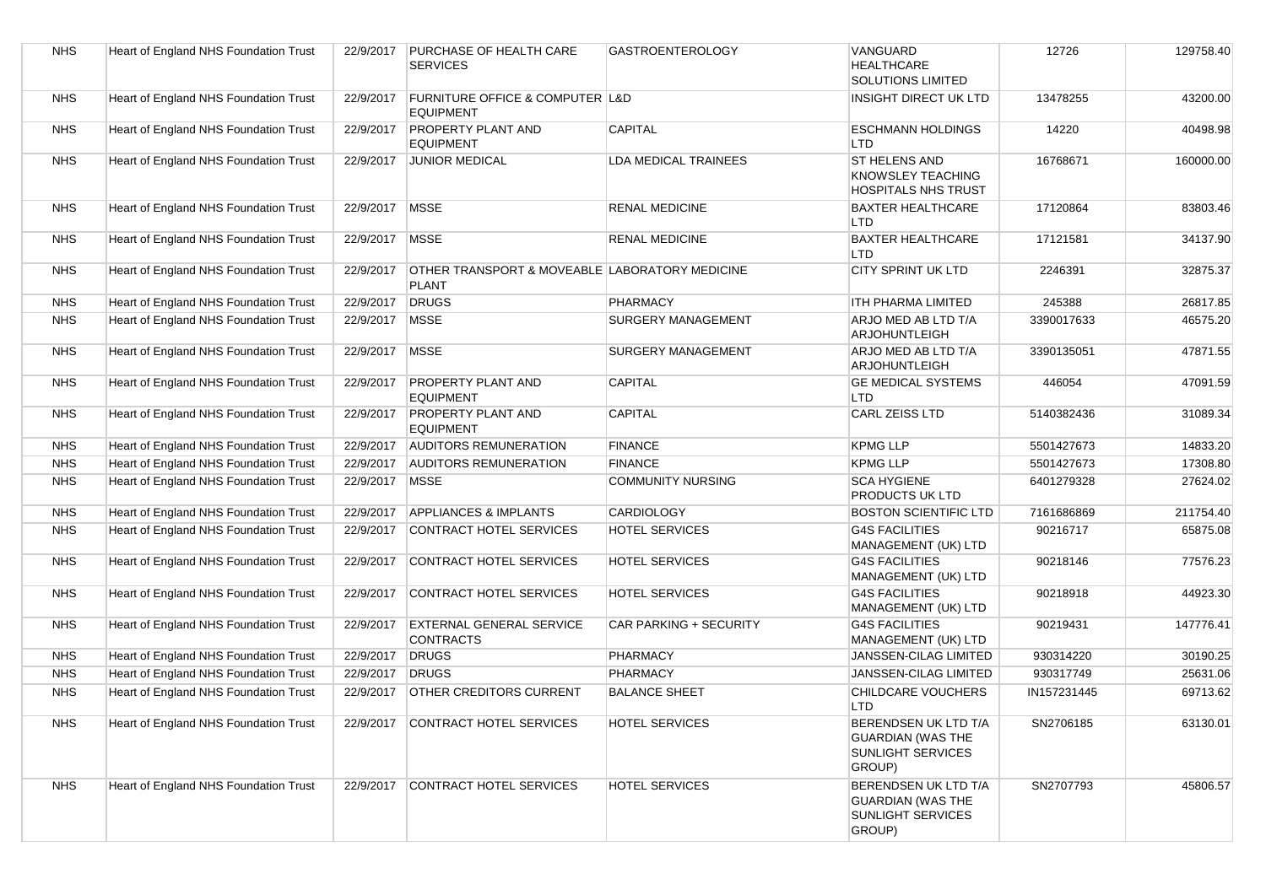| <b>NHS</b> | Heart of England NHS Foundation Trust        | 22/9/2017        | <b>PURCHASE OF HEALTH CARE</b><br><b>SERVICES</b>                  | <b>GASTROENTEROLOGY</b>   | VANGUARD<br><b>HEALTHCARE</b><br>SOLUTIONS LIMITED                                     | 12726       | 129758.40 |
|------------|----------------------------------------------|------------------|--------------------------------------------------------------------|---------------------------|----------------------------------------------------------------------------------------|-------------|-----------|
| <b>NHS</b> | Heart of England NHS Foundation Trust        | 22/9/2017        | <b>FURNITURE OFFICE &amp; COMPUTER L&amp;D</b><br><b>EQUIPMENT</b> |                           | <b>INSIGHT DIRECT UK LTD</b>                                                           | 13478255    | 43200.00  |
| <b>NHS</b> | <b>Heart of England NHS Foundation Trust</b> | 22/9/2017        | <b>PROPERTY PLANT AND</b><br><b>EQUIPMENT</b>                      | CAPITAL                   | <b>ESCHMANN HOLDINGS</b><br><b>LTD</b>                                                 | 14220       | 40498.98  |
| <b>NHS</b> | Heart of England NHS Foundation Trust        | 22/9/2017        | <b>JUNIOR MEDICAL</b>                                              | LDA MEDICAL TRAINEES      | ST HELENS AND<br>KNOWSLEY TEACHING<br>HOSPITALS NHS TRUST                              | 16768671    | 160000.00 |
| <b>NHS</b> | Heart of England NHS Foundation Trust        | 22/9/2017 MSSE   |                                                                    | <b>RENAL MEDICINE</b>     | <b>BAXTER HEALTHCARE</b><br><b>LTD</b>                                                 | 17120864    | 83803.46  |
| <b>NHS</b> | Heart of England NHS Foundation Trust        | 22/9/2017   MSSE |                                                                    | <b>RENAL MEDICINE</b>     | <b>BAXTER HEALTHCARE</b><br><b>LTD</b>                                                 | 17121581    | 34137.90  |
| <b>NHS</b> | Heart of England NHS Foundation Trust        | 22/9/2017        | OTHER TRANSPORT & MOVEABLE LABORATORY MEDICINE<br><b>PLANT</b>     |                           | CITY SPRINT UK LTD                                                                     | 2246391     | 32875.37  |
| <b>NHS</b> | Heart of England NHS Foundation Trust        | 22/9/2017        | DRUGS                                                              | <b>PHARMACY</b>           | <b>ITH PHARMA LIMITED</b>                                                              | 245388      | 26817.85  |
| <b>NHS</b> | Heart of England NHS Foundation Trust        | 22/9/2017        | <b>MSSE</b>                                                        | <b>SURGERY MANAGEMENT</b> | ARJO MED AB LTD T/A<br>ARJOHUNTLEIGH                                                   | 3390017633  | 46575.20  |
| <b>NHS</b> | Heart of England NHS Foundation Trust        | 22/9/2017        | <b>MSSE</b>                                                        | <b>SURGERY MANAGEMENT</b> | ARJO MED AB LTD T/A<br>ARJOHUNTLEIGH                                                   | 3390135051  | 47871.55  |
| <b>NHS</b> | Heart of England NHS Foundation Trust        | 22/9/2017        | <b>PROPERTY PLANT AND</b><br><b>EQUIPMENT</b>                      | CAPITAL                   | <b>GE MEDICAL SYSTEMS</b><br><b>LTD</b>                                                | 446054      | 47091.59  |
| <b>NHS</b> | Heart of England NHS Foundation Trust        | 22/9/2017        | <b>PROPERTY PLANT AND</b><br><b>EQUIPMENT</b>                      | <b>CAPITAL</b>            | CARL ZEISS LTD                                                                         | 5140382436  | 31089.34  |
| <b>NHS</b> | Heart of England NHS Foundation Trust        |                  | 22/9/2017 AUDITORS REMUNERATION                                    | <b>FINANCE</b>            | <b>KPMG LLP</b>                                                                        | 5501427673  | 14833.20  |
| <b>NHS</b> | Heart of England NHS Foundation Trust        | 22/9/2017        | <b>AUDITORS REMUNERATION</b>                                       | <b>FINANCE</b>            | <b>KPMG LLP</b>                                                                        | 5501427673  | 17308.80  |
| <b>NHS</b> | Heart of England NHS Foundation Trust        | 22/9/2017 MSSE   |                                                                    | <b>COMMUNITY NURSING</b>  | <b>SCA HYGIENE</b><br><b>PRODUCTS UK LTD</b>                                           | 6401279328  | 27624.02  |
| <b>NHS</b> | Heart of England NHS Foundation Trust        | 22/9/2017        | APPLIANCES & IMPLANTS                                              | <b>CARDIOLOGY</b>         | <b>BOSTON SCIENTIFIC LTD</b>                                                           | 7161686869  | 211754.40 |
| <b>NHS</b> | Heart of England NHS Foundation Trust        | 22/9/2017        | CONTRACT HOTEL SERVICES                                            | <b>HOTEL SERVICES</b>     | <b>G4S FACILITIES</b><br>MANAGEMENT (UK) LTD                                           | 90216717    | 65875.08  |
| <b>NHS</b> | Heart of England NHS Foundation Trust        | 22/9/2017        | CONTRACT HOTEL SERVICES                                            | <b>HOTEL SERVICES</b>     | <b>G4S FACILITIES</b><br>MANAGEMENT (UK) LTD                                           | 90218146    | 77576.23  |
| <b>NHS</b> | Heart of England NHS Foundation Trust        | 22/9/2017        | CONTRACT HOTEL SERVICES                                            | <b>HOTEL SERVICES</b>     | <b>G4S FACILITIES</b><br>MANAGEMENT (UK) LTD                                           | 90218918    | 44923.30  |
| <b>NHS</b> | Heart of England NHS Foundation Trust        | 22/9/2017        | <b>EXTERNAL GENERAL SERVICE</b><br><b>CONTRACTS</b>                | CAR PARKING + SECURITY    | <b>G4S FACILITIES</b><br>MANAGEMENT (UK) LTD                                           | 90219431    | 147776.41 |
| <b>NHS</b> | Heart of England NHS Foundation Trust        | 22/9/2017        | DRUGS                                                              | PHARMACY                  | JANSSEN-CILAG LIMITED                                                                  | 930314220   | 30190.25  |
| <b>NHS</b> | Heart of England NHS Foundation Trust        | 22/9/2017        | DRUGS                                                              | <b>PHARMACY</b>           | JANSSEN-CILAG LIMITED                                                                  | 930317749   | 25631.06  |
| <b>NHS</b> | Heart of England NHS Foundation Trust        | 22/9/2017        | <b>OTHER CREDITORS CURRENT</b>                                     | <b>BALANCE SHEET</b>      | CHILDCARE VOUCHERS<br><b>LTD</b>                                                       | IN157231445 | 69713.62  |
| <b>NHS</b> | Heart of England NHS Foundation Trust        |                  | 22/9/2017 CONTRACT HOTEL SERVICES                                  | <b>HOTEL SERVICES</b>     | BERENDSEN UK LTD T/A<br><b>GUARDIAN (WAS THE</b><br><b>SUNLIGHT SERVICES</b><br>GROUP) | SN2706185   | 63130.01  |
| <b>NHS</b> | Heart of England NHS Foundation Trust        |                  | 22/9/2017 CONTRACT HOTEL SERVICES                                  | <b>HOTEL SERVICES</b>     | BERENDSEN UK LTD T/A<br><b>GUARDIAN (WAS THE</b><br>SUNLIGHT SERVICES<br>GROUP)        | SN2707793   | 45806.57  |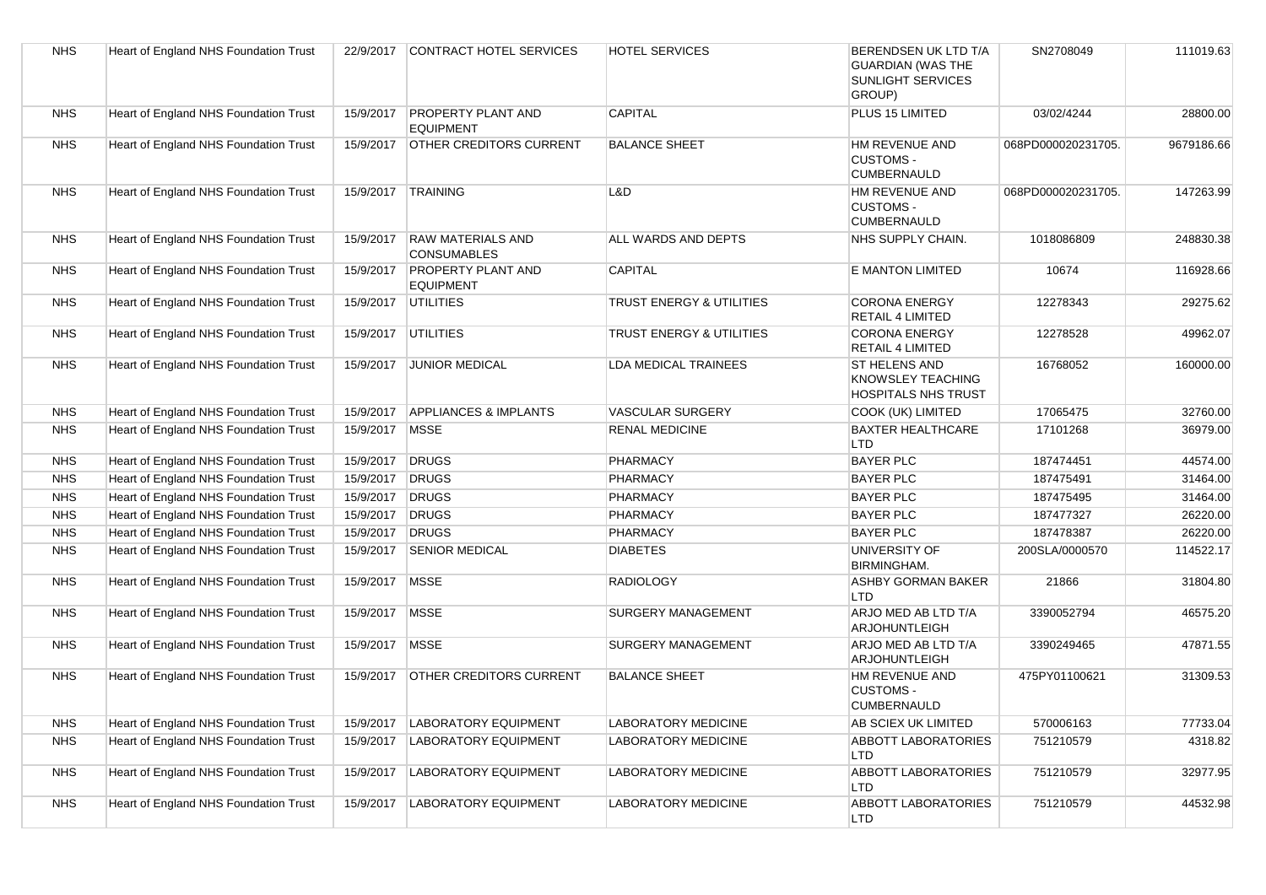| <b>NHS</b> | Heart of England NHS Foundation Trust |           | 22/9/2017 CONTRACT HOTEL SERVICES              | <b>HOTEL SERVICES</b>       | BERENDSEN UK LTD T/A<br><b>GUARDIAN (WAS THE</b><br><b>SUNLIGHT SERVICES</b><br>GROUP) | SN2708049          | 111019.63  |
|------------|---------------------------------------|-----------|------------------------------------------------|-----------------------------|----------------------------------------------------------------------------------------|--------------------|------------|
| <b>NHS</b> | Heart of England NHS Foundation Trust | 15/9/2017 | <b>PROPERTY PLANT AND</b><br><b>EQUIPMENT</b>  | CAPITAL                     | PLUS 15 LIMITED                                                                        | 03/02/4244         | 28800.00   |
| <b>NHS</b> | Heart of England NHS Foundation Trust | 15/9/2017 | <b>OTHER CREDITORS CURRENT</b>                 | <b>BALANCE SHEET</b>        | HM REVENUE AND<br><b>CUSTOMS -</b><br><b>CUMBERNAULD</b>                               | 068PD000020231705. | 9679186.66 |
| <b>NHS</b> | Heart of England NHS Foundation Trust | 15/9/2017 | TRAINING                                       | L&D                         | HM REVENUE AND<br><b>CUSTOMS -</b><br><b>CUMBERNAULD</b>                               | 068PD000020231705. | 147263.99  |
| <b>NHS</b> | Heart of England NHS Foundation Trust | 15/9/2017 | <b>RAW MATERIALS AND</b><br><b>CONSUMABLES</b> | ALL WARDS AND DEPTS         | NHS SUPPLY CHAIN.                                                                      | 1018086809         | 248830.38  |
| <b>NHS</b> | Heart of England NHS Foundation Trust | 15/9/2017 | <b>PROPERTY PLANT AND</b><br><b>EQUIPMENT</b>  | CAPITAL                     | <b>E MANTON LIMITED</b>                                                                | 10674              | 116928.66  |
| <b>NHS</b> | Heart of England NHS Foundation Trust | 15/9/2017 | UTILITIES                                      | TRUST ENERGY & UTILITIES    | <b>CORONA ENERGY</b><br><b>RETAIL 4 LIMITED</b>                                        | 12278343           | 29275.62   |
| <b>NHS</b> | Heart of England NHS Foundation Trust | 15/9/2017 | UTILITIES                                      | TRUST ENERGY & UTILITIES    | <b>CORONA ENERGY</b><br><b>RETAIL 4 LIMITED</b>                                        | 12278528           | 49962.07   |
| <b>NHS</b> | Heart of England NHS Foundation Trust | 15/9/2017 | <b>JUNIOR MEDICAL</b>                          | <b>LDA MEDICAL TRAINEES</b> | ST HELENS AND<br>KNOWSLEY TEACHING<br>HOSPITALS NHS TRUST                              | 16768052           | 160000.00  |
| <b>NHS</b> | Heart of England NHS Foundation Trust | 15/9/2017 | <b>APPLIANCES &amp; IMPLANTS</b>               | <b>VASCULAR SURGERY</b>     | COOK (UK) LIMITED                                                                      | 17065475           | 32760.00   |
| <b>NHS</b> | Heart of England NHS Foundation Trust | 15/9/2017 | <b>MSSE</b>                                    | <b>RENAL MEDICINE</b>       | <b>BAXTER HEALTHCARE</b><br><b>LTD</b>                                                 | 17101268           | 36979.00   |
| <b>NHS</b> | Heart of England NHS Foundation Trust | 15/9/2017 | DRUGS                                          | <b>PHARMACY</b>             | <b>BAYER PLC</b>                                                                       | 187474451          | 44574.00   |
| <b>NHS</b> | Heart of England NHS Foundation Trust | 15/9/2017 | <b>DRUGS</b>                                   | <b>PHARMACY</b>             | <b>BAYER PLC</b>                                                                       | 187475491          | 31464.00   |
| <b>NHS</b> | Heart of England NHS Foundation Trust | 15/9/2017 | <b>DRUGS</b>                                   | <b>PHARMACY</b>             | <b>BAYER PLC</b>                                                                       | 187475495          | 31464.00   |
| <b>NHS</b> | Heart of England NHS Foundation Trust | 15/9/2017 | DRUGS                                          | PHARMACY                    | <b>BAYER PLC</b>                                                                       | 187477327          | 26220.00   |
| <b>NHS</b> | Heart of England NHS Foundation Trust | 15/9/2017 | DRUGS                                          | <b>PHARMACY</b>             | <b>BAYER PLC</b>                                                                       | 187478387          | 26220.00   |
| <b>NHS</b> | Heart of England NHS Foundation Trust | 15/9/2017 | <b>SENIOR MEDICAL</b>                          | <b>DIABETES</b>             | UNIVERSITY OF<br>BIRMINGHAM.                                                           | 200SLA/0000570     | 114522.17  |
| <b>NHS</b> | Heart of England NHS Foundation Trust | 15/9/2017 | <b>MSSE</b>                                    | <b>RADIOLOGY</b>            | <b>ASHBY GORMAN BAKER</b><br><b>LTD</b>                                                | 21866              | 31804.80   |
| <b>NHS</b> | Heart of England NHS Foundation Trust | 15/9/2017 | <b>MSSE</b>                                    | <b>SURGERY MANAGEMENT</b>   | ARJO MED AB LTD T/A<br><b>ARJOHUNTLEIGH</b>                                            | 3390052794         | 46575.20   |
| <b>NHS</b> | Heart of England NHS Foundation Trust | 15/9/2017 | <b>MSSE</b>                                    | <b>SURGERY MANAGEMENT</b>   | ARJO MED AB LTD T/A<br><b>ARJOHUNTLEIGH</b>                                            | 3390249465         | 47871.55   |
| <b>NHS</b> | Heart of England NHS Foundation Trust | 15/9/2017 | <b>OTHER CREDITORS CURRENT</b>                 | <b>BALANCE SHEET</b>        | HM REVENUE AND<br><b>CUSTOMS -</b><br><b>CUMBERNAULD</b>                               | 475PY01100621      | 31309.53   |
| <b>NHS</b> | Heart of England NHS Foundation Trust | 15/9/2017 | LABORATORY EQUIPMENT                           | <b>LABORATORY MEDICINE</b>  | <b>AB SCIEX UK LIMITED</b>                                                             | 570006163          | 77733.04   |
| <b>NHS</b> | Heart of England NHS Foundation Trust | 15/9/2017 | <b>LABORATORY EQUIPMENT</b>                    | <b>LABORATORY MEDICINE</b>  | <b>ABBOTT LABORATORIES</b><br><b>LTD</b>                                               | 751210579          | 4318.82    |
| <b>NHS</b> | Heart of England NHS Foundation Trust | 15/9/2017 | <b>LABORATORY EQUIPMENT</b>                    | <b>LABORATORY MEDICINE</b>  | <b>ABBOTT LABORATORIES</b><br><b>LTD</b>                                               | 751210579          | 32977.95   |
| <b>NHS</b> | Heart of England NHS Foundation Trust | 15/9/2017 | LABORATORY EQUIPMENT                           | <b>LABORATORY MEDICINE</b>  | <b>ABBOTT LABORATORIES</b><br><b>LTD</b>                                               | 751210579          | 44532.98   |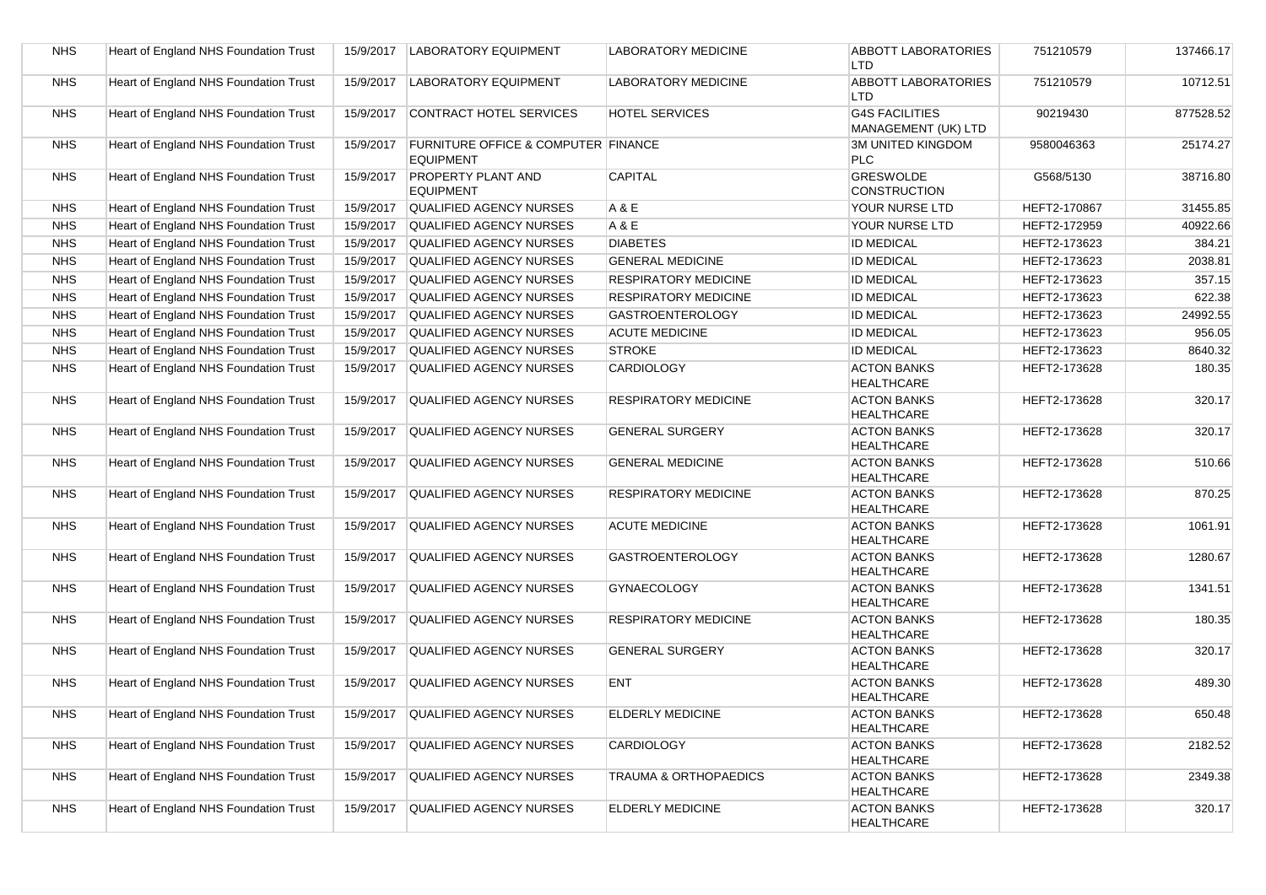| <b>NHS</b> | Heart of England NHS Foundation Trust        | 15/9/2017 | <b>LABORATORY EQUIPMENT</b>                                        | <b>LABORATORY MEDICINE</b>       | <b>ABBOTT LABORATORIES</b><br><b>LTD</b>     | 751210579    | 137466.17 |
|------------|----------------------------------------------|-----------|--------------------------------------------------------------------|----------------------------------|----------------------------------------------|--------------|-----------|
| <b>NHS</b> | Heart of England NHS Foundation Trust        | 15/9/2017 | <b>LABORATORY EQUIPMENT</b>                                        | <b>LABORATORY MEDICINE</b>       | <b>ABBOTT LABORATORIES</b><br><b>LTD</b>     | 751210579    | 10712.51  |
| <b>NHS</b> | Heart of England NHS Foundation Trust        | 15/9/2017 | CONTRACT HOTEL SERVICES                                            | <b>HOTEL SERVICES</b>            | <b>G4S FACILITIES</b><br>MANAGEMENT (UK) LTD | 90219430     | 877528.52 |
| <b>NHS</b> | Heart of England NHS Foundation Trust        | 15/9/2017 | <b>FURNITURE OFFICE &amp; COMPUTER FINANCE</b><br><b>EQUIPMENT</b> |                                  | <b>3M UNITED KINGDOM</b><br><b>PLC</b>       | 9580046363   | 25174.27  |
| <b>NHS</b> | Heart of England NHS Foundation Trust        | 15/9/2017 | <b>PROPERTY PLANT AND</b><br><b>EQUIPMENT</b>                      | CAPITAL                          | <b>GRESWOLDE</b><br><b>CONSTRUCTION</b>      | G568/5130    | 38716.80  |
| <b>NHS</b> | <b>Heart of England NHS Foundation Trust</b> | 15/9/2017 | <b>QUALIFIED AGENCY NURSES</b>                                     | A & E                            | YOUR NURSE LTD                               | HEFT2-170867 | 31455.85  |
| <b>NHS</b> | Heart of England NHS Foundation Trust        | 15/9/2017 | <b>QUALIFIED AGENCY NURSES</b>                                     | A & E                            | YOUR NURSE LTD                               | HEFT2-172959 | 40922.66  |
| <b>NHS</b> | Heart of England NHS Foundation Trust        | 15/9/2017 | <b>QUALIFIED AGENCY NURSES</b>                                     | <b>DIABETES</b>                  | <b>ID MEDICAL</b>                            | HEFT2-173623 | 384.21    |
| <b>NHS</b> | <b>Heart of England NHS Foundation Trust</b> | 15/9/2017 | <b>QUALIFIED AGENCY NURSES</b>                                     | <b>GENERAL MEDICINE</b>          | <b>ID MEDICAL</b>                            | HEFT2-173623 | 2038.81   |
| <b>NHS</b> | Heart of England NHS Foundation Trust        | 15/9/2017 | <b>QUALIFIED AGENCY NURSES</b>                                     | <b>RESPIRATORY MEDICINE</b>      | <b>ID MEDICAL</b>                            | HEFT2-173623 | 357.15    |
| <b>NHS</b> | Heart of England NHS Foundation Trust        | 15/9/2017 | <b>QUALIFIED AGENCY NURSES</b>                                     | <b>RESPIRATORY MEDICINE</b>      | <b>ID MEDICAL</b>                            | HEFT2-173623 | 622.38    |
| <b>NHS</b> | Heart of England NHS Foundation Trust        | 15/9/2017 | <b>QUALIFIED AGENCY NURSES</b>                                     | <b>GASTROENTEROLOGY</b>          | <b>ID MEDICAL</b>                            | HEFT2-173623 | 24992.55  |
| <b>NHS</b> | Heart of England NHS Foundation Trust        | 15/9/2017 | QUALIFIED AGENCY NURSES                                            | <b>ACUTE MEDICINE</b>            | <b>ID MEDICAL</b>                            | HEFT2-173623 | 956.05    |
| <b>NHS</b> | Heart of England NHS Foundation Trust        | 15/9/2017 | <b>QUALIFIED AGENCY NURSES</b>                                     | <b>STROKE</b>                    | <b>ID MEDICAL</b>                            | HEFT2-173623 | 8640.32   |
| <b>NHS</b> | <b>Heart of England NHS Foundation Trust</b> | 15/9/2017 | QUALIFIED AGENCY NURSES                                            | <b>CARDIOLOGY</b>                | <b>ACTON BANKS</b><br><b>HEALTHCARE</b>      | HEFT2-173628 | 180.35    |
| <b>NHS</b> | Heart of England NHS Foundation Trust        | 15/9/2017 | <b>QUALIFIED AGENCY NURSES</b>                                     | <b>RESPIRATORY MEDICINE</b>      | <b>ACTON BANKS</b><br><b>HEALTHCARE</b>      | HEFT2-173628 | 320.17    |
| <b>NHS</b> | Heart of England NHS Foundation Trust        | 15/9/2017 | QUALIFIED AGENCY NURSES                                            | <b>GENERAL SURGERY</b>           | <b>ACTON BANKS</b><br><b>HEALTHCARE</b>      | HEFT2-173628 | 320.17    |
| <b>NHS</b> | Heart of England NHS Foundation Trust        | 15/9/2017 | <b>QUALIFIED AGENCY NURSES</b>                                     | <b>GENERAL MEDICINE</b>          | <b>ACTON BANKS</b><br><b>HEALTHCARE</b>      | HEFT2-173628 | 510.66    |
| <b>NHS</b> | Heart of England NHS Foundation Trust        | 15/9/2017 | <b>QUALIFIED AGENCY NURSES</b>                                     | <b>RESPIRATORY MEDICINE</b>      | <b>ACTON BANKS</b><br><b>HEALTHCARE</b>      | HEFT2-173628 | 870.25    |
| <b>NHS</b> | Heart of England NHS Foundation Trust        | 15/9/2017 | <b>QUALIFIED AGENCY NURSES</b>                                     | <b>ACUTE MEDICINE</b>            | <b>ACTON BANKS</b><br><b>HEALTHCARE</b>      | HEFT2-173628 | 1061.91   |
| <b>NHS</b> | Heart of England NHS Foundation Trust        | 15/9/2017 | <b>QUALIFIED AGENCY NURSES</b>                                     | <b>GASTROENTEROLOGY</b>          | <b>ACTON BANKS</b><br><b>HEALTHCARE</b>      | HEFT2-173628 | 1280.67   |
| <b>NHS</b> | Heart of England NHS Foundation Trust        | 15/9/2017 | <b>QUALIFIED AGENCY NURSES</b>                                     | <b>GYNAECOLOGY</b>               | <b>ACTON BANKS</b><br><b>HEALTHCARE</b>      | HEFT2-173628 | 1341.51   |
| <b>NHS</b> | Heart of England NHS Foundation Trust        | 15/9/2017 | <b>QUALIFIED AGENCY NURSES</b>                                     | <b>RESPIRATORY MEDICINE</b>      | <b>ACTON BANKS</b><br><b>HEALTHCARE</b>      | HEFT2-173628 | 180.35    |
| <b>NHS</b> | Heart of England NHS Foundation Trust        | 15/9/2017 | <b>QUALIFIED AGENCY NURSES</b>                                     | <b>GENERAL SURGERY</b>           | <b>ACTON BANKS</b><br><b>HEALTHCARE</b>      | HEFT2-173628 | 320.17    |
| <b>NHS</b> | Heart of England NHS Foundation Trust        | 15/9/2017 | QUALIFIED AGENCY NURSES                                            | <b>ENT</b>                       | <b>ACTON BANKS</b><br><b>HEALTHCARE</b>      | HEFT2-173628 | 489.30    |
| <b>NHS</b> | Heart of England NHS Foundation Trust        |           | 15/9/2017 QUALIFIED AGENCY NURSES                                  | <b>ELDERLY MEDICINE</b>          | <b>ACTON BANKS</b><br><b>HEALTHCARE</b>      | HEFT2-173628 | 650.48    |
| <b>NHS</b> | Heart of England NHS Foundation Trust        | 15/9/2017 | QUALIFIED AGENCY NURSES                                            | CARDIOLOGY                       | <b>ACTON BANKS</b><br><b>HEALTHCARE</b>      | HEFT2-173628 | 2182.52   |
| <b>NHS</b> | Heart of England NHS Foundation Trust        | 15/9/2017 | QUALIFIED AGENCY NURSES                                            | <b>TRAUMA &amp; ORTHOPAEDICS</b> | <b>ACTON BANKS</b><br><b>HEALTHCARE</b>      | HEFT2-173628 | 2349.38   |
| <b>NHS</b> | Heart of England NHS Foundation Trust        | 15/9/2017 | QUALIFIED AGENCY NURSES                                            | ELDERLY MEDICINE                 | <b>ACTON BANKS</b><br>HEALTHCARE             | HEFT2-173628 | 320.17    |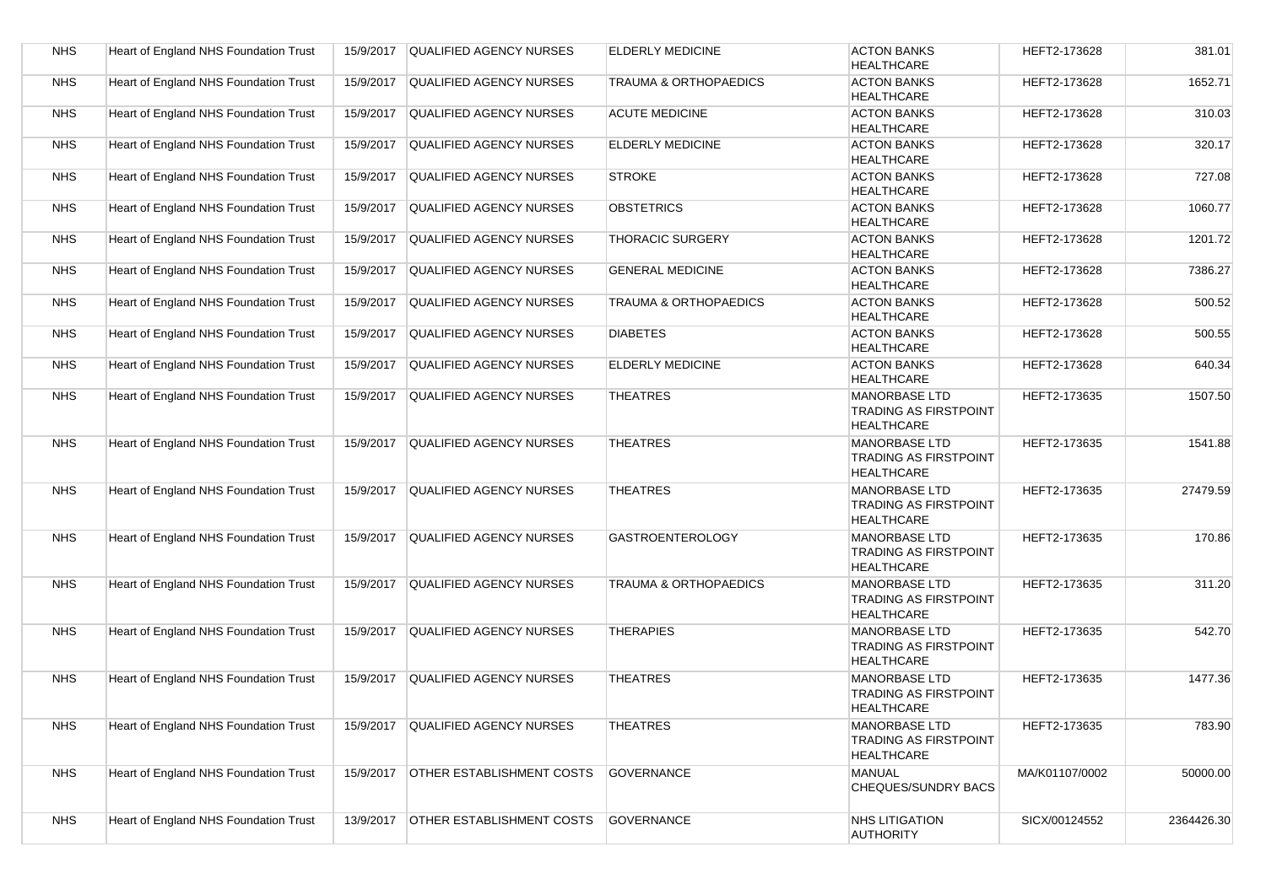| <b>NHS</b> | Heart of England NHS Foundation Trust        | 15/9/2017 | QUALIFIED AGENCY NURSES           | <b>ELDERLY MEDICINE</b>          | <b>ACTON BANKS</b><br><b>HEALTHCARE</b>                                   | HEFT2-173628   | 381.01     |
|------------|----------------------------------------------|-----------|-----------------------------------|----------------------------------|---------------------------------------------------------------------------|----------------|------------|
| <b>NHS</b> | Heart of England NHS Foundation Trust        | 15/9/2017 | QUALIFIED AGENCY NURSES           | <b>TRAUMA &amp; ORTHOPAEDICS</b> | <b>ACTON BANKS</b><br><b>HEALTHCARE</b>                                   | HEFT2-173628   | 1652.71    |
| <b>NHS</b> | Heart of England NHS Foundation Trust        | 15/9/2017 | QUALIFIED AGENCY NURSES           | <b>ACUTE MEDICINE</b>            | <b>ACTON BANKS</b><br><b>HEALTHCARE</b>                                   | HEFT2-173628   | 310.03     |
| <b>NHS</b> | Heart of England NHS Foundation Trust        | 15/9/2017 | QUALIFIED AGENCY NURSES           | <b>ELDERLY MEDICINE</b>          | <b>ACTON BANKS</b><br><b>HEALTHCARE</b>                                   | HEFT2-173628   | 320.17     |
| <b>NHS</b> | Heart of England NHS Foundation Trust        | 15/9/2017 | QUALIFIED AGENCY NURSES           | <b>STROKE</b>                    | <b>ACTON BANKS</b><br><b>HEALTHCARE</b>                                   | HEFT2-173628   | 727.08     |
| <b>NHS</b> | Heart of England NHS Foundation Trust        | 15/9/2017 | <b>QUALIFIED AGENCY NURSES</b>    | <b>OBSTETRICS</b>                | <b>ACTON BANKS</b><br><b>HEALTHCARE</b>                                   | HEFT2-173628   | 1060.77    |
| <b>NHS</b> | <b>Heart of England NHS Foundation Trust</b> | 15/9/2017 | <b>QUALIFIED AGENCY NURSES</b>    | <b>THORACIC SURGERY</b>          | <b>ACTON BANKS</b><br><b>HEALTHCARE</b>                                   | HEFT2-173628   | 1201.72    |
| <b>NHS</b> | Heart of England NHS Foundation Trust        | 15/9/2017 | QUALIFIED AGENCY NURSES           | <b>GENERAL MEDICINE</b>          | <b>ACTON BANKS</b><br><b>HEALTHCARE</b>                                   | HEFT2-173628   | 7386.27    |
| <b>NHS</b> | Heart of England NHS Foundation Trust        | 15/9/2017 | QUALIFIED AGENCY NURSES           | <b>TRAUMA &amp; ORTHOPAEDICS</b> | <b>ACTON BANKS</b><br><b>HEALTHCARE</b>                                   | HEFT2-173628   | 500.52     |
| <b>NHS</b> | Heart of England NHS Foundation Trust        | 15/9/2017 | <b>QUALIFIED AGENCY NURSES</b>    | <b>DIABETES</b>                  | <b>ACTON BANKS</b><br><b>HEALTHCARE</b>                                   | HEFT2-173628   | 500.55     |
| <b>NHS</b> | <b>Heart of England NHS Foundation Trust</b> | 15/9/2017 | <b>QUALIFIED AGENCY NURSES</b>    | <b>ELDERLY MEDICINE</b>          | <b>ACTON BANKS</b><br><b>HEALTHCARE</b>                                   | HEFT2-173628   | 640.34     |
| <b>NHS</b> | Heart of England NHS Foundation Trust        | 15/9/2017 | <b>QUALIFIED AGENCY NURSES</b>    | <b>THEATRES</b>                  | <b>MANORBASE LTD</b><br><b>TRADING AS FIRSTPOINT</b><br><b>HEALTHCARE</b> | HEFT2-173635   | 1507.50    |
| <b>NHS</b> | Heart of England NHS Foundation Trust        | 15/9/2017 | QUALIFIED AGENCY NURSES           | <b>THEATRES</b>                  | <b>MANORBASE LTD</b><br><b>TRADING AS FIRSTPOINT</b><br><b>HEALTHCARE</b> | HEFT2-173635   | 1541.88    |
| <b>NHS</b> | Heart of England NHS Foundation Trust        |           | 15/9/2017 QUALIFIED AGENCY NURSES | <b>THEATRES</b>                  | <b>MANORBASE LTD</b><br><b>TRADING AS FIRSTPOINT</b><br><b>HEALTHCARE</b> | HEFT2-173635   | 27479.59   |
| <b>NHS</b> | Heart of England NHS Foundation Trust        |           | 15/9/2017 QUALIFIED AGENCY NURSES | <b>GASTROENTEROLOGY</b>          | <b>MANORBASE LTD</b><br><b>TRADING AS FIRSTPOINT</b><br><b>HEALTHCARE</b> | HEFT2-173635   | 170.86     |
| <b>NHS</b> | Heart of England NHS Foundation Trust        | 15/9/2017 | QUALIFIED AGENCY NURSES           | TRAUMA & ORTHOPAEDICS            | <b>MANORBASE LTD</b><br><b>TRADING AS FIRSTPOINT</b><br><b>HEALTHCARE</b> | HEFT2-173635   | 311.20     |
| <b>NHS</b> | Heart of England NHS Foundation Trust        | 15/9/2017 | QUALIFIED AGENCY NURSES           | <b>THERAPIES</b>                 | <b>MANORBASE LTD</b><br><b>TRADING AS FIRSTPOINT</b><br><b>HEALTHCARE</b> | HEFT2-173635   | 542.70     |
| <b>NHS</b> | Heart of England NHS Foundation Trust        | 15/9/2017 | QUALIFIED AGENCY NURSES           | <b>THEATRES</b>                  | <b>MANORBASE LTD</b><br><b>TRADING AS FIRSTPOINT</b><br><b>HEALTHCARE</b> | HEFT2-173635   | 1477.36    |
| <b>NHS</b> | Heart of England NHS Foundation Trust        |           | 15/9/2017 QUALIFIED AGENCY NURSES | <b>THEATRES</b>                  | <b>MANORBASE LTD</b><br><b>TRADING AS FIRSTPOINT</b><br><b>HEALTHCARE</b> | HEFT2-173635   | 783.90     |
| <b>NHS</b> | Heart of England NHS Foundation Trust        | 15/9/2017 | <b>OTHER ESTABLISHMENT COSTS</b>  | <b>GOVERNANCE</b>                | MANUAL<br>CHEQUES/SUNDRY BACS                                             | MA/K01107/0002 | 50000.00   |
| <b>NHS</b> | Heart of England NHS Foundation Trust        | 13/9/2017 | <b>OTHER ESTABLISHMENT COSTS</b>  | <b>GOVERNANCE</b>                | <b>NHS LITIGATION</b><br><b>AUTHORITY</b>                                 | SICX/00124552  | 2364426.30 |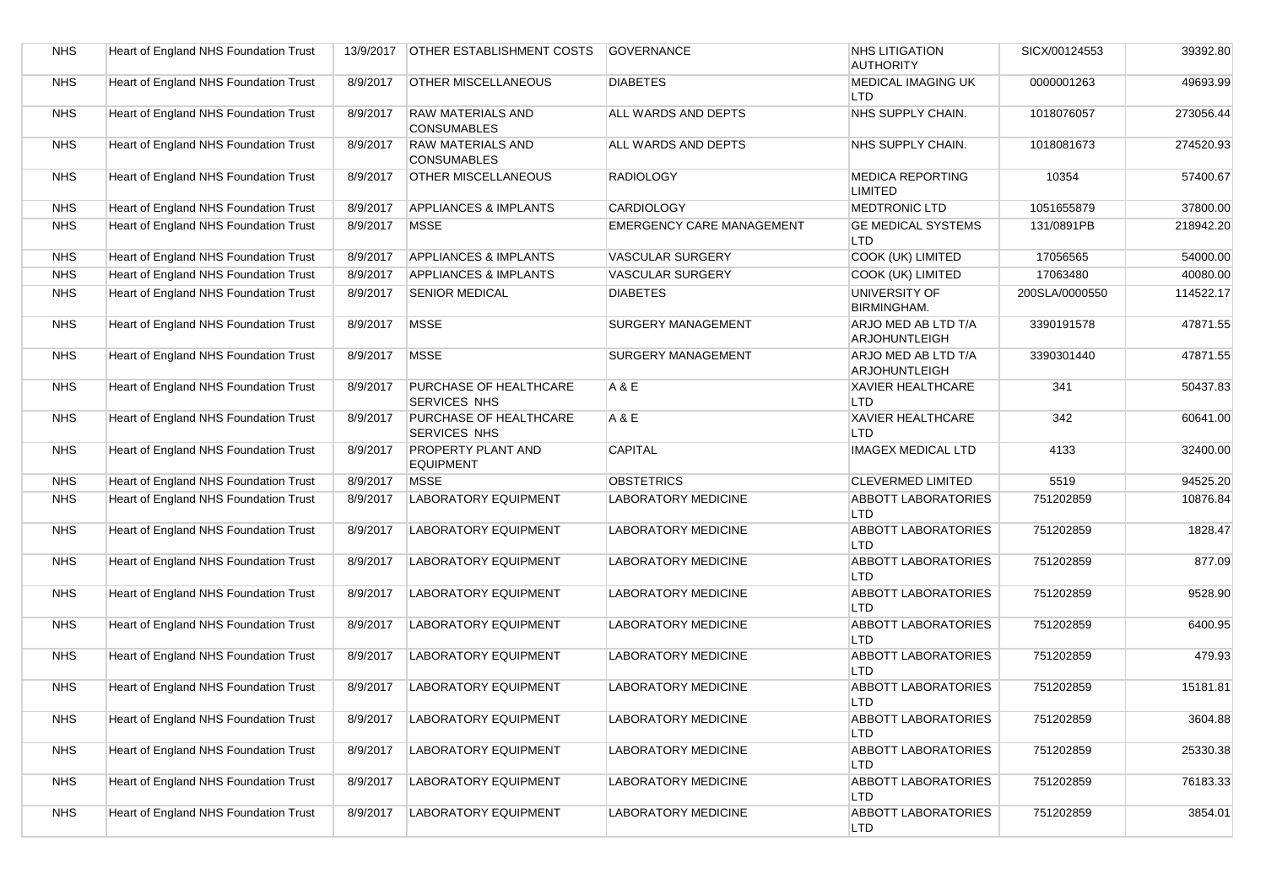| <b>NHS</b> | Heart of England NHS Foundation Trust | 13/9/2017 | <b>OTHER ESTABLISHMENT COSTS</b>               | <b>GOVERNANCE</b>                | <b>NHS LITIGATION</b><br><b>AUTHORITY</b>   | SICX/00124553  | 39392.80  |
|------------|---------------------------------------|-----------|------------------------------------------------|----------------------------------|---------------------------------------------|----------------|-----------|
| <b>NHS</b> | Heart of England NHS Foundation Trust | 8/9/2017  | <b>OTHER MISCELLANEOUS</b>                     | <b>DIABETES</b>                  | <b>MEDICAL IMAGING UK</b><br><b>LTD</b>     | 0000001263     | 49693.99  |
| <b>NHS</b> | Heart of England NHS Foundation Trust | 8/9/2017  | <b>RAW MATERIALS AND</b><br><b>CONSUMABLES</b> | ALL WARDS AND DEPTS              | NHS SUPPLY CHAIN.                           | 1018076057     | 273056.44 |
| <b>NHS</b> | Heart of England NHS Foundation Trust | 8/9/2017  | <b>RAW MATERIALS AND</b><br><b>CONSUMABLES</b> | ALL WARDS AND DEPTS              | NHS SUPPLY CHAIN.                           | 1018081673     | 274520.93 |
| <b>NHS</b> | Heart of England NHS Foundation Trust | 8/9/2017  | <b>OTHER MISCELLANEOUS</b>                     | <b>RADIOLOGY</b>                 | <b>MEDICA REPORTING</b><br><b>LIMITED</b>   | 10354          | 57400.67  |
| <b>NHS</b> | Heart of England NHS Foundation Trust | 8/9/2017  | <b>APPLIANCES &amp; IMPLANTS</b>               | <b>CARDIOLOGY</b>                | <b>MEDTRONIC LTD</b>                        | 1051655879     | 37800.00  |
| <b>NHS</b> | Heart of England NHS Foundation Trust | 8/9/2017  | <b>MSSE</b>                                    | <b>EMERGENCY CARE MANAGEMENT</b> | <b>GE MEDICAL SYSTEMS</b><br>LTD.           | 131/0891PB     | 218942.20 |
| <b>NHS</b> | Heart of England NHS Foundation Trust | 8/9/2017  | <b>APPLIANCES &amp; IMPLANTS</b>               | <b>VASCULAR SURGERY</b>          | COOK (UK) LIMITED                           | 17056565       | 54000.00  |
| <b>NHS</b> | Heart of England NHS Foundation Trust | 8/9/2017  | <b>APPLIANCES &amp; IMPLANTS</b>               | VASCULAR SURGERY                 | COOK (UK) LIMITED                           | 17063480       | 40080.00  |
| <b>NHS</b> | Heart of England NHS Foundation Trust | 8/9/2017  | <b>SENIOR MEDICAL</b>                          | <b>DIABETES</b>                  | UNIVERSITY OF<br>BIRMINGHAM.                | 200SLA/0000550 | 114522.17 |
| <b>NHS</b> | Heart of England NHS Foundation Trust | 8/9/2017  | <b>MSSE</b>                                    | SURGERY MANAGEMENT               | ARJO MED AB LTD T/A<br><b>ARJOHUNTLEIGH</b> | 3390191578     | 47871.55  |
| <b>NHS</b> | Heart of England NHS Foundation Trust | 8/9/2017  | <b>MSSE</b>                                    | <b>SURGERY MANAGEMENT</b>        | ARJO MED AB LTD T/A<br><b>ARJOHUNTLEIGH</b> | 3390301440     | 47871.55  |
| <b>NHS</b> | Heart of England NHS Foundation Trust | 8/9/2017  | PURCHASE OF HEALTHCARE<br><b>SERVICES NHS</b>  | A & E                            | <b>XAVIER HEALTHCARE</b><br><b>LTD</b>      | 341            | 50437.83  |
| <b>NHS</b> | Heart of England NHS Foundation Trust | 8/9/2017  | PURCHASE OF HEALTHCARE<br><b>SERVICES NHS</b>  | A & E                            | <b>XAVIER HEALTHCARE</b><br><b>LTD</b>      | 342            | 60641.00  |
| <b>NHS</b> | Heart of England NHS Foundation Trust | 8/9/2017  | <b>PROPERTY PLANT AND</b><br><b>EQUIPMENT</b>  | <b>CAPITAL</b>                   | <b>IMAGEX MEDICAL LTD</b>                   | 4133           | 32400.00  |
| <b>NHS</b> | Heart of England NHS Foundation Trust | 8/9/2017  | <b>MSSE</b>                                    | <b>OBSTETRICS</b>                | <b>CLEVERMED LIMITED</b>                    | 5519           | 94525.20  |
| <b>NHS</b> | Heart of England NHS Foundation Trust | 8/9/2017  | <b>LABORATORY EQUIPMENT</b>                    | <b>LABORATORY MEDICINE</b>       | <b>ABBOTT LABORATORIES</b><br><b>LTD</b>    | 751202859      | 10876.84  |
| <b>NHS</b> | Heart of England NHS Foundation Trust | 8/9/2017  | <b>LABORATORY EQUIPMENT</b>                    | <b>LABORATORY MEDICINE</b>       | <b>ABBOTT LABORATORIES</b><br><b>LTD</b>    | 751202859      | 1828.47   |
| <b>NHS</b> | Heart of England NHS Foundation Trust | 8/9/2017  | <b>LABORATORY EQUIPMENT</b>                    | <b>LABORATORY MEDICINE</b>       | <b>ABBOTT LABORATORIES</b><br><b>LTD</b>    | 751202859      | 877.09    |
| <b>NHS</b> | Heart of England NHS Foundation Trust | 8/9/2017  | <b>LABORATORY EQUIPMENT</b>                    | <b>LABORATORY MEDICINE</b>       | <b>ABBOTT LABORATORIES</b><br>LTD           | 751202859      | 9528.90   |
| <b>NHS</b> | Heart of England NHS Foundation Trust | 8/9/2017  | <b>LABORATORY EQUIPMENT</b>                    | <b>LABORATORY MEDICINE</b>       | <b>ABBOTT LABORATORIES</b><br><b>LTD</b>    | 751202859      | 6400.95   |
| <b>NHS</b> | Heart of England NHS Foundation Trust | 8/9/2017  | <b>LABORATORY EQUIPMENT</b>                    | <b>LABORATORY MEDICINE</b>       | <b>ABBOTT LABORATORIES</b><br><b>LTD</b>    | 751202859      | 479.93    |
| <b>NHS</b> | Heart of England NHS Foundation Trust | 8/9/2017  | <b>LABORATORY EQUIPMENT</b>                    | <b>LABORATORY MEDICINE</b>       | <b>ABBOTT LABORATORIES</b><br>LTD           | 751202859      | 15181.81  |
| <b>NHS</b> | Heart of England NHS Foundation Trust |           | 8/9/2017   LABORATORY EQUIPMENT                | <b>LABORATORY MEDICINE</b>       | ABBOTT LABORATORIES<br><b>LTD</b>           | 751202859      | 3604.88   |
| <b>NHS</b> | Heart of England NHS Foundation Trust | 8/9/2017  | <b>LABORATORY EQUIPMENT</b>                    | LABORATORY MEDICINE              | <b>ABBOTT LABORATORIES</b><br><b>LTD</b>    | 751202859      | 25330.38  |
| <b>NHS</b> | Heart of England NHS Foundation Trust | 8/9/2017  | <b>LABORATORY EQUIPMENT</b>                    | LABORATORY MEDICINE              | <b>ABBOTT LABORATORIES</b><br><b>LTD</b>    | 751202859      | 76183.33  |
| <b>NHS</b> | Heart of England NHS Foundation Trust | 8/9/2017  | <b>LABORATORY EQUIPMENT</b>                    | <b>LABORATORY MEDICINE</b>       | <b>ABBOTT LABORATORIES</b><br><b>LTD</b>    | 751202859      | 3854.01   |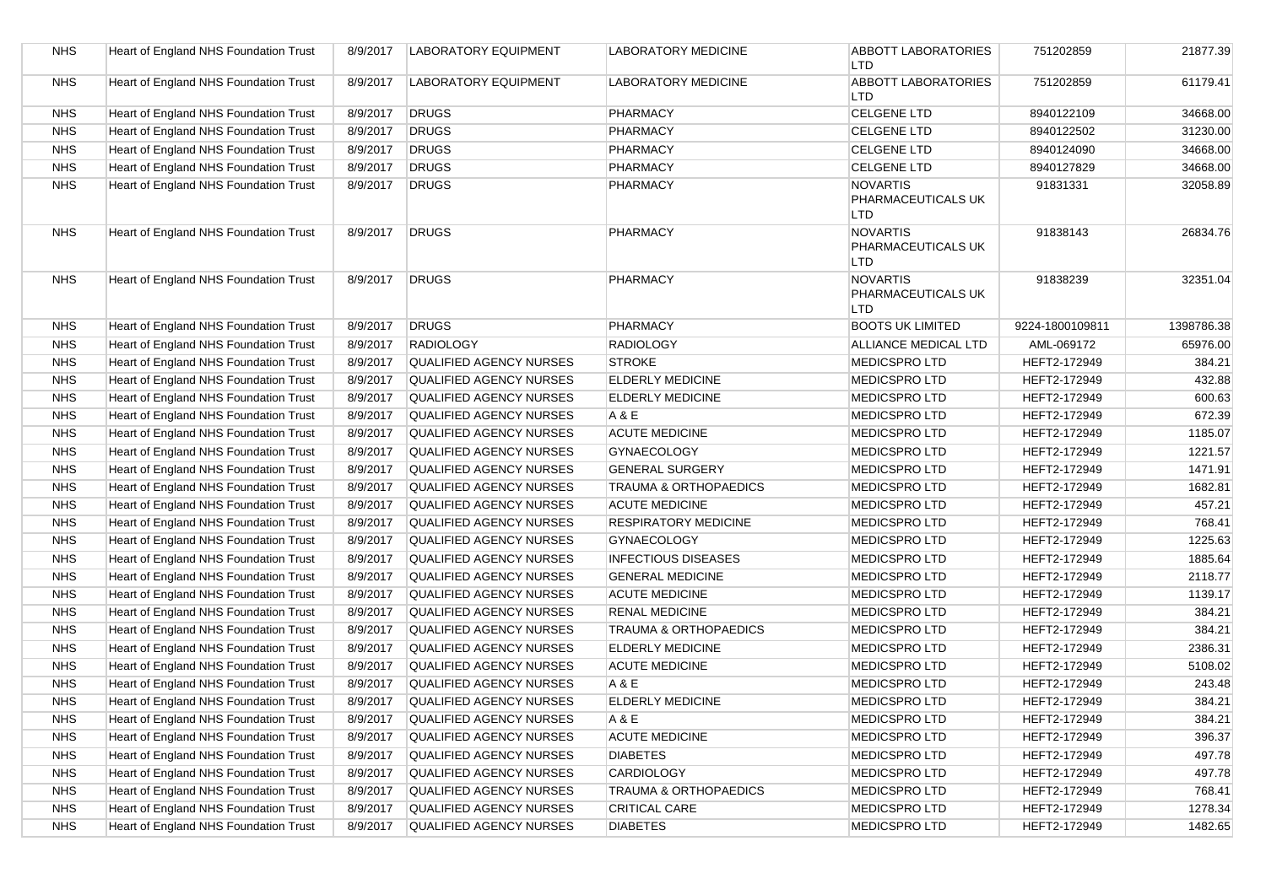| <b>NHS</b> | Heart of England NHS Foundation Trust | 8/9/2017 | <b>LABORATORY EQUIPMENT</b>    | <b>LABORATORY MEDICINE</b>       | <b>ABBOTT LABORATORIES</b><br><b>LTD</b>            | 751202859       | 21877.39   |
|------------|---------------------------------------|----------|--------------------------------|----------------------------------|-----------------------------------------------------|-----------------|------------|
| <b>NHS</b> | Heart of England NHS Foundation Trust | 8/9/2017 | <b>LABORATORY EQUIPMENT</b>    | <b>LABORATORY MEDICINE</b>       | <b>ABBOTT LABORATORIES</b><br><b>LTD</b>            | 751202859       | 61179.41   |
| <b>NHS</b> | Heart of England NHS Foundation Trust | 8/9/2017 | <b>DRUGS</b>                   | <b>PHARMACY</b>                  | <b>CELGENE LTD</b>                                  | 8940122109      | 34668.00   |
| <b>NHS</b> | Heart of England NHS Foundation Trust | 8/9/2017 | <b>DRUGS</b>                   | PHARMACY                         | <b>CELGENE LTD</b>                                  | 8940122502      | 31230.00   |
| <b>NHS</b> | Heart of England NHS Foundation Trust | 8/9/2017 | <b>DRUGS</b>                   | <b>PHARMACY</b>                  | <b>CELGENE LTD</b>                                  | 8940124090      | 34668.00   |
| <b>NHS</b> | Heart of England NHS Foundation Trust | 8/9/2017 | <b>DRUGS</b>                   | <b>PHARMACY</b>                  | <b>CELGENE LTD</b>                                  | 8940127829      | 34668.00   |
| <b>NHS</b> | Heart of England NHS Foundation Trust | 8/9/2017 | <b>DRUGS</b>                   | <b>PHARMACY</b>                  | <b>NOVARTIS</b><br>PHARMACEUTICALS UK<br>LTD        | 91831331        | 32058.89   |
| <b>NHS</b> | Heart of England NHS Foundation Trust | 8/9/2017 | <b>DRUGS</b>                   | <b>PHARMACY</b>                  | <b>NOVARTIS</b><br>PHARMACEUTICALS UK<br><b>LTD</b> | 91838143        | 26834.76   |
| <b>NHS</b> | Heart of England NHS Foundation Trust | 8/9/2017 | <b>DRUGS</b>                   | <b>PHARMACY</b>                  | <b>NOVARTIS</b><br>PHARMACEUTICALS UK<br>LTD        | 91838239        | 32351.04   |
| <b>NHS</b> | Heart of England NHS Foundation Trust | 8/9/2017 | <b>DRUGS</b>                   | PHARMACY                         | <b>BOOTS UK LIMITED</b>                             | 9224-1800109811 | 1398786.38 |
| <b>NHS</b> | Heart of England NHS Foundation Trust | 8/9/2017 | <b>RADIOLOGY</b>               | <b>RADIOLOGY</b>                 | ALLIANCE MEDICAL LTD                                | AML-069172      | 65976.00   |
| <b>NHS</b> | Heart of England NHS Foundation Trust | 8/9/2017 | <b>QUALIFIED AGENCY NURSES</b> | <b>STROKE</b>                    | <b>MEDICSPROLTD</b>                                 | HEFT2-172949    | 384.21     |
| <b>NHS</b> | Heart of England NHS Foundation Trust | 8/9/2017 | <b>QUALIFIED AGENCY NURSES</b> | <b>ELDERLY MEDICINE</b>          | <b>MEDICSPROLTD</b>                                 | HEFT2-172949    | 432.88     |
| <b>NHS</b> | Heart of England NHS Foundation Trust | 8/9/2017 | <b>QUALIFIED AGENCY NURSES</b> | <b>ELDERLY MEDICINE</b>          | <b>MEDICSPROLTD</b>                                 | HEFT2-172949    | 600.63     |
| <b>NHS</b> | Heart of England NHS Foundation Trust | 8/9/2017 | <b>QUALIFIED AGENCY NURSES</b> | A & E                            | <b>MEDICSPROLTD</b>                                 | HEFT2-172949    | 672.39     |
| <b>NHS</b> | Heart of England NHS Foundation Trust | 8/9/2017 | <b>QUALIFIED AGENCY NURSES</b> | <b>ACUTE MEDICINE</b>            | <b>MEDICSPROLTD</b>                                 | HEFT2-172949    | 1185.07    |
| <b>NHS</b> | Heart of England NHS Foundation Trust | 8/9/2017 | <b>QUALIFIED AGENCY NURSES</b> | <b>GYNAECOLOGY</b>               | <b>MEDICSPROLTD</b>                                 | HEFT2-172949    | 1221.57    |
| <b>NHS</b> | Heart of England NHS Foundation Trust | 8/9/2017 | QUALIFIED AGENCY NURSES        | <b>GENERAL SURGERY</b>           | <b>MEDICSPROLTD</b>                                 | HEFT2-172949    | 1471.91    |
| <b>NHS</b> | Heart of England NHS Foundation Trust | 8/9/2017 | QUALIFIED AGENCY NURSES        | <b>TRAUMA &amp; ORTHOPAEDICS</b> | MEDICSPRO LTD                                       | HEFT2-172949    | 1682.81    |
| <b>NHS</b> | Heart of England NHS Foundation Trust | 8/9/2017 | QUALIFIED AGENCY NURSES        | <b>ACUTE MEDICINE</b>            | <b>MEDICSPROLTD</b>                                 | HEFT2-172949    | 457.21     |
| <b>NHS</b> | Heart of England NHS Foundation Trust | 8/9/2017 | QUALIFIED AGENCY NURSES        | <b>RESPIRATORY MEDICINE</b>      | MEDICSPRO LTD                                       | HEFT2-172949    | 768.41     |
| <b>NHS</b> | Heart of England NHS Foundation Trust | 8/9/2017 | QUALIFIED AGENCY NURSES        | <b>GYNAECOLOGY</b>               | MEDICSPRO LTD                                       | HEFT2-172949    | 1225.63    |
| <b>NHS</b> | Heart of England NHS Foundation Trust | 8/9/2017 | <b>QUALIFIED AGENCY NURSES</b> | <b>INFECTIOUS DISEASES</b>       | MEDICSPRO LTD                                       | HEFT2-172949    | 1885.64    |
| <b>NHS</b> | Heart of England NHS Foundation Trust | 8/9/2017 | QUALIFIED AGENCY NURSES        | <b>GENERAL MEDICINE</b>          | <b>MEDICSPROLTD</b>                                 | HEFT2-172949    | 2118.77    |
| <b>NHS</b> | Heart of England NHS Foundation Trust | 8/9/2017 | <b>QUALIFIED AGENCY NURSES</b> | <b>ACUTE MEDICINE</b>            | <b>MEDICSPROLTD</b>                                 | HEFT2-172949    | 1139.17    |
| <b>NHS</b> | Heart of England NHS Foundation Trust | 8/9/2017 | <b>QUALIFIED AGENCY NURSES</b> | <b>RENAL MEDICINE</b>            | <b>MEDICSPROLTD</b>                                 | HEFT2-172949    | 384.21     |
| <b>NHS</b> | Heart of England NHS Foundation Trust | 8/9/2017 | <b>QUALIFIED AGENCY NURSES</b> | <b>TRAUMA &amp; ORTHOPAEDICS</b> | MEDICSPRO LTD                                       | HEFT2-172949    | 384.21     |
| <b>NHS</b> | Heart of England NHS Foundation Trust | 8/9/2017 | <b>QUALIFIED AGENCY NURSES</b> | <b>ELDERLY MEDICINE</b>          | MEDICSPRO LTD                                       | HEFT2-172949    | 2386.31    |
| <b>NHS</b> | Heart of England NHS Foundation Trust | 8/9/2017 | <b>QUALIFIED AGENCY NURSES</b> | <b>ACUTE MEDICINE</b>            | MEDICSPRO LTD                                       | HEFT2-172949    | 5108.02    |
| <b>NHS</b> | Heart of England NHS Foundation Trust | 8/9/2017 | <b>QUALIFIED AGENCY NURSES</b> | A & E                            | MEDICSPRO LTD                                       | HEFT2-172949    | 243.48     |
| <b>NHS</b> | Heart of England NHS Foundation Trust | 8/9/2017 | <b>QUALIFIED AGENCY NURSES</b> | <b>ELDERLY MEDICINE</b>          | <b>MEDICSPRO LTD</b>                                | HEFT2-172949    | 384.21     |
| <b>NHS</b> | Heart of England NHS Foundation Trust | 8/9/2017 | QUALIFIED AGENCY NURSES        | A & E                            | MEDICSPRO LTD                                       | HEFT2-172949    | 384.21     |
| <b>NHS</b> | Heart of England NHS Foundation Trust | 8/9/2017 | <b>QUALIFIED AGENCY NURSES</b> | <b>ACUTE MEDICINE</b>            | MEDICSPRO LTD                                       | HEFT2-172949    | 396.37     |
| <b>NHS</b> | Heart of England NHS Foundation Trust | 8/9/2017 | <b>QUALIFIED AGENCY NURSES</b> | <b>DIABETES</b>                  | MEDICSPRO LTD                                       | HEFT2-172949    | 497.78     |
| <b>NHS</b> | Heart of England NHS Foundation Trust | 8/9/2017 | <b>QUALIFIED AGENCY NURSES</b> | <b>CARDIOLOGY</b>                | <b>MEDICSPRO LTD</b>                                | HEFT2-172949    | 497.78     |
| <b>NHS</b> | Heart of England NHS Foundation Trust | 8/9/2017 | <b>QUALIFIED AGENCY NURSES</b> | <b>TRAUMA &amp; ORTHOPAEDICS</b> | MEDICSPRO LTD                                       | HEFT2-172949    | 768.41     |
| <b>NHS</b> | Heart of England NHS Foundation Trust | 8/9/2017 | <b>QUALIFIED AGENCY NURSES</b> | <b>CRITICAL CARE</b>             | <b>MEDICSPROLTD</b>                                 | HEFT2-172949    | 1278.34    |
| <b>NHS</b> | Heart of England NHS Foundation Trust | 8/9/2017 | QUALIFIED AGENCY NURSES        | <b>DIABETES</b>                  | <b>MEDICSPROLTD</b>                                 | HEFT2-172949    | 1482.65    |
|            |                                       |          |                                |                                  |                                                     |                 |            |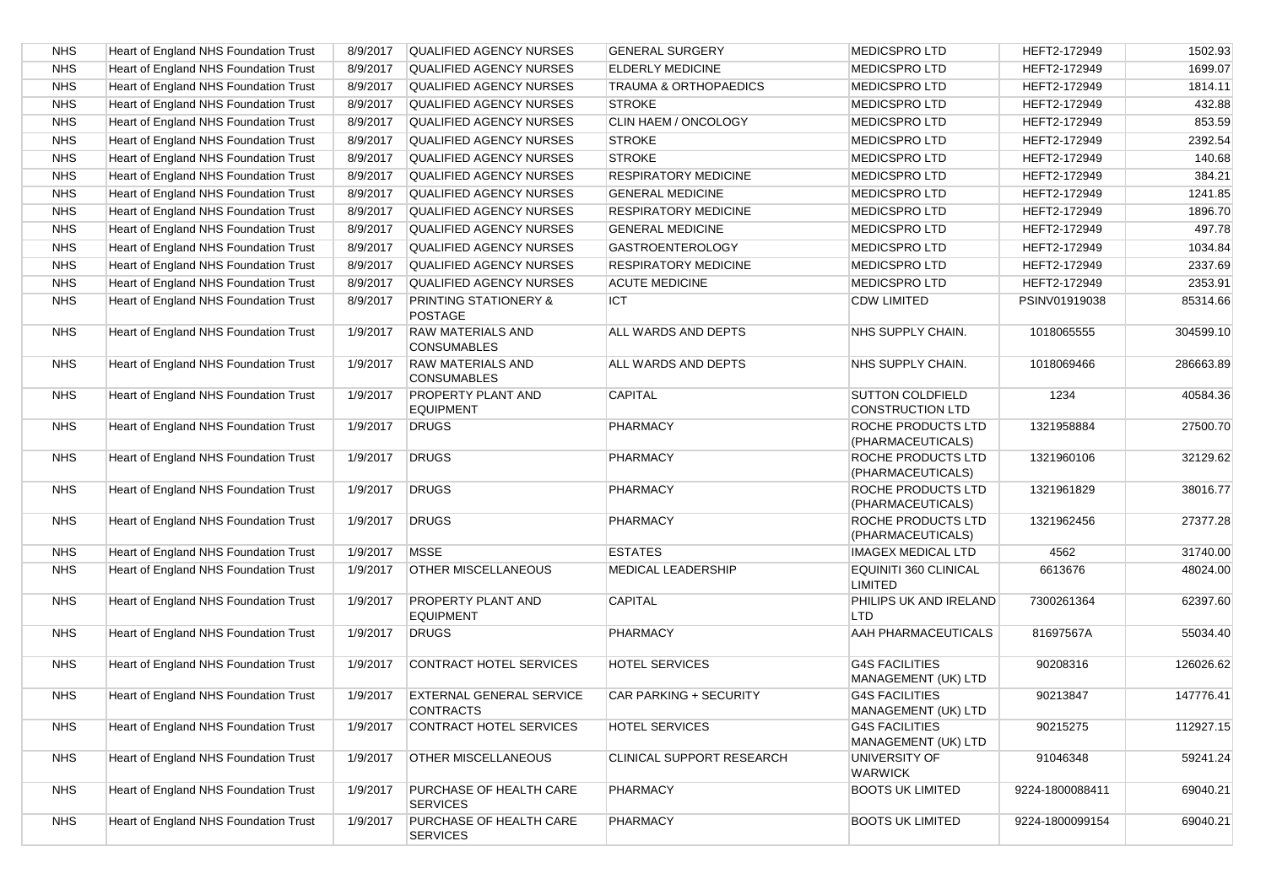| <b>NHS</b> | Heart of England NHS Foundation Trust        | 8/9/2017 | QUALIFIED AGENCY NURSES                            | <b>GENERAL SURGERY</b>           | <b>MEDICSPRO LTD</b>                               | HEFT2-172949    | 1502.93   |
|------------|----------------------------------------------|----------|----------------------------------------------------|----------------------------------|----------------------------------------------------|-----------------|-----------|
| <b>NHS</b> | Heart of England NHS Foundation Trust        | 8/9/2017 | <b>QUALIFIED AGENCY NURSES</b>                     | ELDERLY MEDICINE                 | MEDICSPRO LTD                                      | HEFT2-172949    | 1699.07   |
| <b>NHS</b> | Heart of England NHS Foundation Trust        | 8/9/2017 | QUALIFIED AGENCY NURSES                            | <b>TRAUMA &amp; ORTHOPAEDICS</b> | MEDICSPRO LTD                                      | HEFT2-172949    | 1814.11   |
| <b>NHS</b> | Heart of England NHS Foundation Trust        | 8/9/2017 | <b>QUALIFIED AGENCY NURSES</b>                     | <b>STROKE</b>                    | MEDICSPRO LTD                                      | HEFT2-172949    | 432.88    |
| <b>NHS</b> | Heart of England NHS Foundation Trust        | 8/9/2017 | <b>QUALIFIED AGENCY NURSES</b>                     | CLIN HAEM / ONCOLOGY             | <b>MEDICSPRO LTD</b>                               | HEFT2-172949    | 853.59    |
| <b>NHS</b> | Heart of England NHS Foundation Trust        | 8/9/2017 | <b>QUALIFIED AGENCY NURSES</b>                     | <b>STROKE</b>                    | <b>MEDICSPRO LTD</b>                               | HEFT2-172949    | 2392.54   |
| <b>NHS</b> | Heart of England NHS Foundation Trust        | 8/9/2017 | <b>QUALIFIED AGENCY NURSES</b>                     | <b>STROKE</b>                    | MEDICSPRO LTD                                      | HEFT2-172949    | 140.68    |
| <b>NHS</b> | Heart of England NHS Foundation Trust        | 8/9/2017 | <b>QUALIFIED AGENCY NURSES</b>                     | <b>RESPIRATORY MEDICINE</b>      | MEDICSPRO LTD                                      | HEFT2-172949    | 384.21    |
| <b>NHS</b> | Heart of England NHS Foundation Trust        | 8/9/2017 | <b>QUALIFIED AGENCY NURSES</b>                     | <b>GENERAL MEDICINE</b>          | <b>MEDICSPRO LTD</b>                               | HEFT2-172949    | 1241.85   |
| <b>NHS</b> | Heart of England NHS Foundation Trust        | 8/9/2017 | <b>QUALIFIED AGENCY NURSES</b>                     | <b>RESPIRATORY MEDICINE</b>      | <b>MEDICSPRO LTD</b>                               | HEFT2-172949    | 1896.70   |
| <b>NHS</b> | <b>Heart of England NHS Foundation Trust</b> | 8/9/2017 | <b>QUALIFIED AGENCY NURSES</b>                     | <b>GENERAL MEDICINE</b>          | <b>MEDICSPROLTD</b>                                | HEFT2-172949    | 497.78    |
| <b>NHS</b> | Heart of England NHS Foundation Trust        | 8/9/2017 | <b>QUALIFIED AGENCY NURSES</b>                     | <b>GASTROENTEROLOGY</b>          | <b>MEDICSPROLTD</b>                                | HEFT2-172949    | 1034.84   |
| <b>NHS</b> | Heart of England NHS Foundation Trust        | 8/9/2017 | <b>QUALIFIED AGENCY NURSES</b>                     | <b>RESPIRATORY MEDICINE</b>      | <b>MEDICSPROLTD</b>                                | HEFT2-172949    | 2337.69   |
| <b>NHS</b> | Heart of England NHS Foundation Trust        | 8/9/2017 | <b>QUALIFIED AGENCY NURSES</b>                     | <b>ACUTE MEDICINE</b>            | <b>MEDICSPROLTD</b>                                | HEFT2-172949    | 2353.91   |
| <b>NHS</b> | Heart of England NHS Foundation Trust        | 8/9/2017 | <b>PRINTING STATIONERY &amp;</b><br><b>POSTAGE</b> | <b>ICT</b>                       | <b>CDW LIMITED</b>                                 | PSINV01919038   | 85314.66  |
| <b>NHS</b> | Heart of England NHS Foundation Trust        | 1/9/2017 | <b>RAW MATERIALS AND</b><br><b>CONSUMABLES</b>     | ALL WARDS AND DEPTS              | NHS SUPPLY CHAIN.                                  | 1018065555      | 304599.10 |
| <b>NHS</b> | Heart of England NHS Foundation Trust        | 1/9/2017 | <b>RAW MATERIALS AND</b><br><b>CONSUMABLES</b>     | ALL WARDS AND DEPTS              | NHS SUPPLY CHAIN.                                  | 1018069466      | 286663.89 |
| <b>NHS</b> | <b>Heart of England NHS Foundation Trust</b> | 1/9/2017 | <b>PROPERTY PLANT AND</b><br><b>EQUIPMENT</b>      | CAPITAL                          | <b>SUTTON COLDFIELD</b><br><b>CONSTRUCTION LTD</b> | 1234            | 40584.36  |
| <b>NHS</b> | Heart of England NHS Foundation Trust        | 1/9/2017 | <b>DRUGS</b>                                       | <b>PHARMACY</b>                  | ROCHE PRODUCTS LTD<br>(PHARMACEUTICALS)            | 1321958884      | 27500.70  |
| <b>NHS</b> | Heart of England NHS Foundation Trust        | 1/9/2017 | DRUGS                                              | <b>PHARMACY</b>                  | ROCHE PRODUCTS LTD<br>(PHARMACEUTICALS)            | 1321960106      | 32129.62  |
| <b>NHS</b> | Heart of England NHS Foundation Trust        | 1/9/2017 | <b>DRUGS</b>                                       | <b>PHARMACY</b>                  | ROCHE PRODUCTS LTD<br>(PHARMACEUTICALS)            | 1321961829      | 38016.77  |
| <b>NHS</b> | Heart of England NHS Foundation Trust        | 1/9/2017 | <b>DRUGS</b>                                       | <b>PHARMACY</b>                  | ROCHE PRODUCTS LTD<br>(PHARMACEUTICALS)            | 1321962456      | 27377.28  |
| <b>NHS</b> | Heart of England NHS Foundation Trust        | 1/9/2017 | <b>MSSE</b>                                        | <b>ESTATES</b>                   | IMAGEX MEDICAL LTD                                 | 4562            | 31740.00  |
| <b>NHS</b> | Heart of England NHS Foundation Trust        | 1/9/2017 | OTHER MISCELLANEOUS                                | <b>MEDICAL LEADERSHIP</b>        | EQUINITI 360 CLINICAL<br>LIMITED                   | 6613676         | 48024.00  |
| <b>NHS</b> | Heart of England NHS Foundation Trust        | 1/9/2017 | <b>PROPERTY PLANT AND</b><br><b>EQUIPMENT</b>      | CAPITAL                          | PHILIPS UK AND IRELAND<br><b>LTD</b>               | 7300261364      | 62397.60  |
| <b>NHS</b> | Heart of England NHS Foundation Trust        | 1/9/2017 | DRUGS                                              | PHARMACY                         | <b>AAH PHARMACEUTICALS</b>                         | 81697567A       | 55034.40  |
| <b>NHS</b> | Heart of England NHS Foundation Trust        | 1/9/2017 | CONTRACT HOTEL SERVICES                            | <b>HOTEL SERVICES</b>            | <b>G4S FACILITIES</b><br>MANAGEMENT (UK) LTD       | 90208316        | 126026.62 |
| <b>NHS</b> | Heart of England NHS Foundation Trust        | 1/9/2017 | EXTERNAL GENERAL SERVICE<br><b>CONTRACTS</b>       | CAR PARKING + SECURITY           | <b>G4S FACILITIES</b><br>MANAGEMENT (UK) LTD       | 90213847        | 147776.41 |
| <b>NHS</b> | Heart of England NHS Foundation Trust        | 1/9/2017 | CONTRACT HOTEL SERVICES                            | <b>HOTEL SERVICES</b>            | <b>G4S FACILITIES</b><br>MANAGEMENT (UK) LTD       | 90215275        | 112927.15 |
| <b>NHS</b> | Heart of England NHS Foundation Trust        | 1/9/2017 | <b>OTHER MISCELLANEOUS</b>                         | CLINICAL SUPPORT RESEARCH        | UNIVERSITY OF<br><b>WARWICK</b>                    | 91046348        | 59241.24  |
| <b>NHS</b> | Heart of England NHS Foundation Trust        | 1/9/2017 | PURCHASE OF HEALTH CARE<br><b>SERVICES</b>         | PHARMACY                         | <b>BOOTS UK LIMITED</b>                            | 9224-1800088411 | 69040.21  |
| <b>NHS</b> | Heart of England NHS Foundation Trust        | 1/9/2017 | PURCHASE OF HEALTH CARE<br><b>SERVICES</b>         | PHARMACY                         | <b>BOOTS UK LIMITED</b>                            | 9224-1800099154 | 69040.21  |